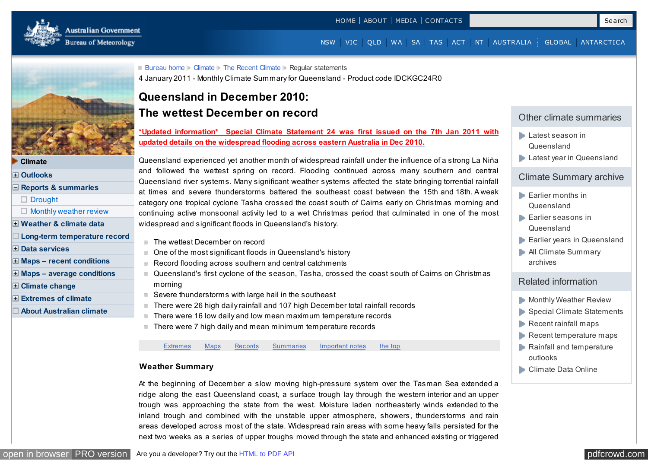<span id="page-0-0"></span>

[NSW](http://www.bom.gov.au/nsw/?ref=hdr) [VIC](http://www.bom.gov.au/vic/?ref=hdr) [Q LD](http://www.bom.gov.au/qld/?ref=hdr) [WA](http://www.bom.gov.au/wa/?ref=hdr) [SA](http://www.bom.gov.au/sa/?ref=hdr) [TAS](http://www.bom.gov.au/tas/?ref=hdr) [ACT](http://www.bom.gov.au/act/?ref=hdr) [NT](http://www.bom.gov.au/nt/?ref=hdr) [AUSTRALIA](http://www.bom.gov.au/australia/?ref=hdr) [GLOBAL](http://www.bom.gov.au/global/?ref=hdr) [ANTARCTICA](http://www.bom.gov.au/ant/?ref=hdr)



#### **[Climate](http://www.bom.gov.au/climate/)**

**[Outlooks](http://www.bom.gov.au/climate/ahead/)**

- **[Reports & summaries](http://www.bom.gov.au/climate/current/)**
- [Drought](http://www.bom.gov.au/climate/drought/)
- $\Box$  [Monthly weather review](http://www.bom.gov.au/climate/mwr/)
- **[Weather & climate data](http://www.bom.gov.au/climate/data/)**
- **[Long-term temperature record](http://www.bom.gov.au/climate/change/acorn-sat/)**
- **[Data services](http://www.bom.gov.au/climate/data-services/)**
- **[Maps recent conditions](http://www.bom.gov.au/climate/maps/)**
- **[Maps average conditions](http://www.bom.gov.au/climate/averages/maps.shtml)**
- **[Climate change](http://www.bom.gov.au/climate/change/)**
- **[Extremes of climate](http://www.bom.gov.au/climate/extremes/)**
- **[About Australian climate](http://www.bom.gov.au/climate/about/)**

### **[Bureau home](http://www.bom.gov.au/)** [Climate](http://www.bom.gov.au/climate/) [The Recent Climate](http://www.bom.gov.au/climate/current/) Regular statements 4 January 2011 - Monthly Climate Summary for Queensland - Product code IDCKGC24R0

# **Queensland in December 2010: The wettest December on record**

**[\\*Updated information\\* Special Climate Statement 24 was first issued on the 7th Jan 2011 with](http://www.bom.gov.au/climate/current/statements/scs24.pdf) updated details on the widespread flooding across eastern Australia in Dec 2010.**

Queensland experienced yet another month of widespread rainfall under the influence of a strong La Niña and followed the wettest spring on record. Flooding continued across many southern and central Queensland river systems. Many significant weather systems affected the state bringing torrential rainfall at times and severe thunderstorms battered the southeast coast between the 15th and 18th. A weak category one tropical cyclone Tasha crossed the coast south of Cairns early on Christmas morning and continuing active monsoonal activity led to a wet Christmas period that culminated in one of the most widespread and significant floods in Queensland's history.

- The wettest December on record
- One of the most significant floods in Queensland's history
- Record flooding across southern and central catchments  $\sim$
- **Queensland's first cyclone of the season, Tasha, crossed the coast south of Cairns on Christmas** morning
- Severe thunderstorms with large hail in the southeast
- There were 26 high daily rainfall and 107 high December total rainfall records  $\overline{\phantom{a}}$
- There were 16 low daily and low mean maximum temperature records  $\overline{\phantom{a}}$
- There were 7 high daily and mean minimum temperature records

[Extremes](#page-4-0) Maps [Records](#page-5-0) [Summaries](#page-13-0) [Important notes](#page-17-0) the top

### **Weather Summary**

At the beginning of December a slow moving high-pressure system over the Tasman Sea extended a ridge along the east Queensland coast, a surface trough lay through the western interior and an upper trough was approaching the state from the west. Moisture laden northeasterly winds extended to the inland trough and combined with the unstable upper atmosphere, showers, thunderstorms and rain areas developed across most of the state. Widespread rain areas with some heavy falls persisted for the next two weeks as a series of upper troughs moved through the state and enhanced existing or triggered



### Other climate summaries

- **[Latest season in](http://www.bom.gov.au/climate/current/season/qld/summary.shtml)** Queensland
- **[Latest year in Queensland](http://www.bom.gov.au/climate/current/annual/qld/summary.shtml)**

### Climate Summary archive

- **[Earlier months in](http://www.bom.gov.au/climate/current/statement_archives.shtml?region=qld&period=month) Queensland**
- **[Earlier seasons in](http://www.bom.gov.au/climate/current/statement_archives.shtml?region=qld&period=season)** Queensland
- [Earlier years in Queensland](http://www.bom.gov.au/climate/current/statement_archives.shtml?region=qld&period=annual)
- **[All Climate Summary](http://www.bom.gov.au/climate/current/statement_archives.shtml)** archives

## Related information

- **[Monthly Weather Review](http://www.bom.gov.au/climate/mwr/)**
- [Special Climate Statements](http://www.bom.gov.au/climate/current/special-statements.shtml)
- [Recent rainfall maps](http://www.bom.gov.au/jsp/awap/rain/index.jsp?map=totals&colour=colour&time=latest&step=0&period=month&area=qd)
- $\blacktriangleright$  [Recent temperature maps](http://www.bom.gov.au/jsp/awap/temp/index.jsp?map=meanave&colour=colour&time=latest&step=0&period=month&area=qd)
- **[Rainfall and temperature](http://www.bom.gov.au/climate/outlooks/)** outlooks
- **[Climate Data Online](http://www.bom.gov.au/climate/data/)**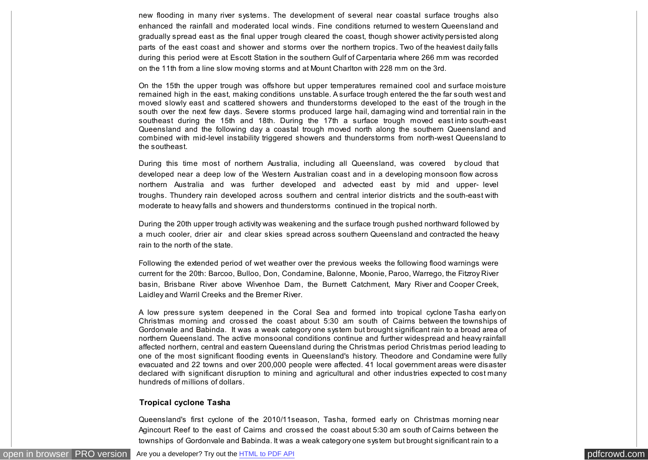new flooding in many river systems. The development of several near coastal surface troughs also enhanced the rainfall and moderated local winds. Fine conditions returned to western Queensland and gradually spread east as the final upper trough cleared the coast, though shower activity persisted along parts of the east coast and shower and storms over the northern tropics. Two of the heaviest daily falls during this period were at Escott Station in the southern Gulf of Carpentaria where 266 mm was recorded on the 11th from a line slow moving storms and at Mount Charlton with 228 mm on the 3rd.

On the 15th the upper trough was offshore but upper temperatures remained cool and surface moisture remained high in the east, making conditions unstable. A surface trough entered the the far south west and moved slowly east and scattered showers and thunderstorms developed to the east of the trough in the south over the next few days. Severe storms produced large hail, damaging wind and torrential rain in the southeast during the 15th and 18th. During the 17th a surface trough moved east into south-east Queensland and the following day a coastal trough moved north along the southern Queensland and combined with mid-level instability triggered showers and thunderstorms from north-west Queensland to the southeast.

During this time most of northern Australia, including all Queensland, was covered by cloud that developed near a deep low of the Western Australian coast and in a developing monsoon flow across northern Australia and was further developed and advected east by mid and upper- level troughs. Thundery rain developed across southern and central interior districts and the south-east with moderate to heavy falls and showers and thunderstorms continued in the tropical north.

During the 20th upper trough activity was weakening and the surface trough pushed northward followed by a much cooler, drier air and clear skies spread across southern Queensland and contracted the heavy rain to the north of the state.

Following the extended period of wet weather over the previous weeks the following flood warnings were current for the 20th: Barcoo, Bulloo, Don, Condamine, Balonne, Moonie, Paroo, Warrego, the Fitzroy River basin, Brisbane River above Wivenhoe Dam, the Burnett Catchment, Mary River and Cooper Creek, Laidley and Warril Creeks and the Bremer River.

A low pressure system deepened in the Coral Sea and formed into tropical cyclone Tasha early on Christmas morning and crossed the coast about 5:30 am south of Cairns between the townships of Gordonvale and Babinda. It was a weak category one system but brought significant rain to a broad area of northern Queensland. The active monsoonal conditions continue and further widespread and heavy rainfall affected northern, central and eastern Queensland during the Christmas period Christmas period leading to one of the most significant flooding events in Queensland's history. Theodore and Condamine were fully evacuated and 22 towns and over 200,000 people were affected. 41 local government areas were disaster declared with significant disruption to mining and agricultural and other industries expected to cost many hundreds of millions of dollars.

#### **Tropical cyclone Tasha**

Queensland's first cyclone of the 2010/11season, Tasha, formed early on Christmas morning near Agincourt Reef to the east of Cairns and crossed the coast about 5:30 am south of Cairns between the townships of Gordonvale and Babinda. It was a weak category one system but brought significant rain to a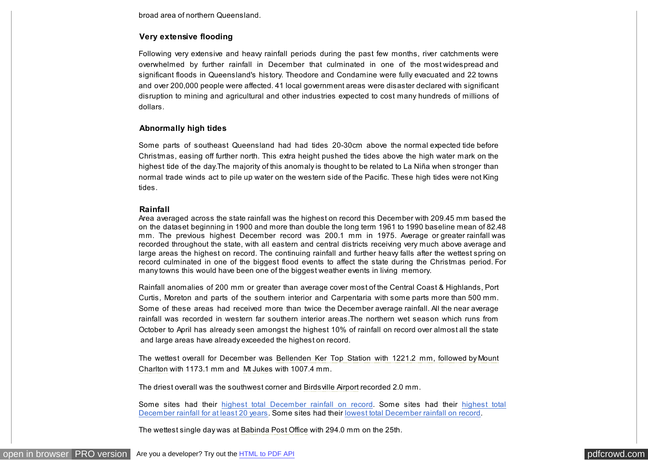broad area of northern Queensland.

#### **Very extensive flooding**

Following very extensive and heavy rainfall periods during the past few months, river catchments were overwhelmed by further rainfall in December that culminated in one of the most widespread and significant floods in Queensland's history. Theodore and Condamine were fully evacuated and 22 towns and over 200,000 people were affected. 41 local government areas were disaster declared with significant disruption to mining and agricultural and other industries expected to cost many hundreds of millions of dollars.

#### **Abnormally high tides**

Some parts of southeast Queensland had had tides 20-30cm above the normal expected tide before Christmas, easing off further north. This extra height pushed the tides above the high water mark on the highest tide of the day.The majority of this anomaly is thought to be related to La Niña when stronger than normal trade winds act to pile up water on the western side of the Pacific. These high tides were not King tides.

#### **Rainfall**

Area averaged across the state rainfall was the highest on record this December with 209.45 mm based the on the dataset beginning in 1900 and more than double the long term 1961 to 1990 baseline mean of 82.48 mm. The previous highest December record was 200.1 mm in 1975. Average or greater rainfall was recorded throughout the state, with all eastern and central districts receiving very much above average and large areas the highest on record. The continuing rainfall and further heavy falls after the wettest spring on record culminated in one of the biggest flood events to affect the state during the Christmas period. For many towns this would have been one of the biggest weather events in living memory.

Rainfall anomalies of 200 mm or greater than average cover most of the Central Coast & Highlands, Port Curtis, Moreton and parts of the southern interior and Carpentaria with some parts more than 500 mm. Some of these areas had received more than twice the December average rainfall. All the near average rainfall was recorded in western far southern interior areas.The northern wet season which runs from October to April has already seen amongst the highest 10% of rainfall on record over almost all the state and large areas have already exceeded the highest on record.

The wettest overall for December was Bellenden Ker Top Station with 1221.2 mm, followed by Mount Charlton with 1173.1 mm and Mt Jukes with 1007.4 mm.

The driest overall was the southwest corner and Birdsville Airport recorded 2.0 mm.

[Some sites had their highest total December rainfall on record. Some sites had their highest total](#page-9-0) December rainfall for at least 20 years. Some sites had their [lowest total December rainfall on record.](#page-0-0)

The wettest single day was at Babinda Post Office with 294.0 mm on the 25th.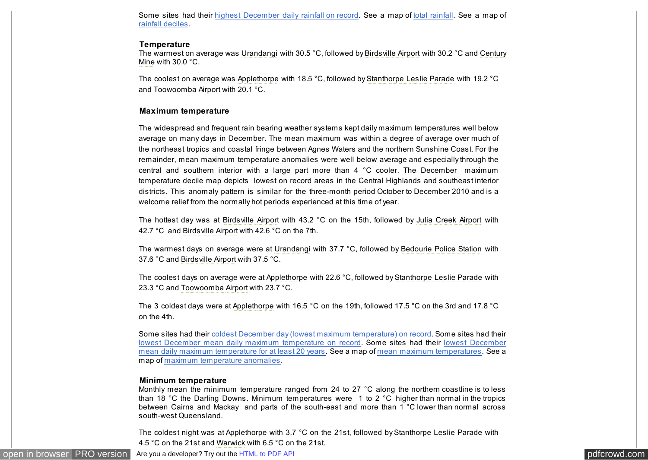Some sites had their [highest December daily rainfall on record.](#page-5-0) See a map of [total rainfall.](javascript:ShowMap() See a map of [rainfall deciles.](javascript:ShowMap()

#### **Temperature**

The warmest on average was Urandangi with 30.5 °C, followed by Birdsville Airport with 30.2 °C and Century Mine with 30.0 °C.

The coolest on average was Applethorpe with 18.5 °C, followed by Stanthorpe Leslie Parade with 19.2 °C and Toowoomba Airport with 20.1 °C.

#### **Maximum temperature**

The widespread and frequent rain bearing weather systems kept daily maximum temperatures well below average on many days in December. The mean maximum was within a degree of average over much of the northeast tropics and coastal fringe between Agnes Waters and the northern Sunshine Coast. For the remainder, mean maximum temperature anomalies were well below average and especially through the central and southern interior with a large part more than 4 °C cooler. The December maximum temperature decile map depicts lowest on record areas in the Central Highlands and southeast interior districts. This anomaly pattern is similar for the three-month period October to December 2010 and is a welcome relief from the normally hot periods experienced at this time of year.

The hottest day was at Birdsville Airport with 43.2 °C on the 15th, followed by Julia Creek Airport with 42.7 °C and Birdsville Airport with 42.6 °C on the 7th.

The warmest days on average were at Urandangi with 37.7 °C, followed by Bedourie Police Station with 37.6 °C and Birdsville Airport with 37.5 °C.

The coolest days on average were at Applethorpe with 22.6 °C, followed by Stanthorpe Leslie Parade with 23.3 °C and Toowoomba Airport with 23.7 °C.

The 3 coldest days were at Applethorpe with 16.5 °C on the 19th, followed 17.5 °C on the 3rd and 17.8 °C on the 4th.

Some sites had their [coldest December day \(lowest maximum temperature\) on record.](#page-11-0) Some sites had their [lowest December mean daily maximum temperature on record. Some sites had their lowest December](#page-12-0) mean daily maximum temperature for at least 20 years. See a map of [mean maximum temperatures.](javascript:ShowMap() See a map of [maximum temperature anomalies.](javascript:ShowMap()

#### **Minimum temperature**

Monthly mean the minimum temperature ranged from 24 to 27 °C along the northern coastline is to less than 18 °C the Darling Downs. Minimum temperatures were 1 to 2 °C higher than normal in the tropics between Cairns and Mackay and parts of the south-east and more than 1 °C lower than normal across south-west Queensland.

The coldest night was at Applethorpe with 3.7 °C on the 21st, followed by Stanthorpe Leslie Parade with 4.5 °C on the 21st and Warwick with 6.5 °C on the 21st.

[open in browser](http://pdfcrowd.com/redirect/?url=http%3a%2f%2fwww.bom.gov.au%2fclimate%2fcurrent%2fmonth%2fqld%2farchive%2f201012.summary.shtml&id=ma-161201020418-cdfeabec) [PRO version](http://pdfcrowd.com/customize/) Are you a developer? Try out th[e HTML to PDF API](http://pdfcrowd.com/html-to-pdf-api/?ref=pdf) produce the Material product of the HTML to PDF API produce the Material policy of the Material policy of the Material policy of the Material pol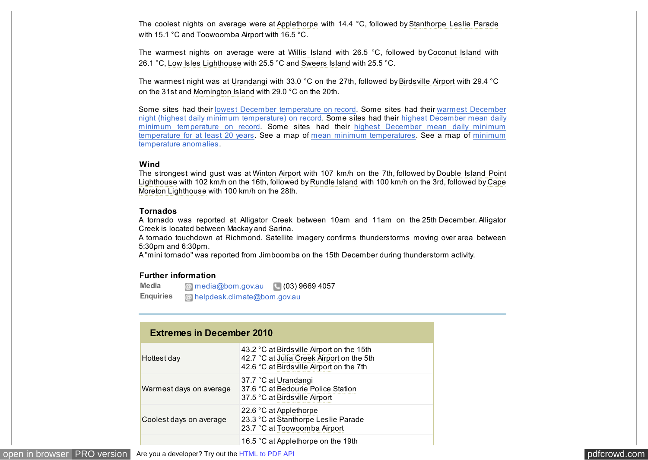<span id="page-4-0"></span>The coolest nights on average were at Applethorpe with 14.4 °C, followed by Stanthorpe Leslie Parade with 15.1 °C and Toowoomba Airport with 16.5 °C.

The warmest nights on average were at Willis Island with 26.5 °C, followed by Coconut Island with 26.1 °C, Low Isles Lighthouse with 25.5 °C and Sweers Island with 25.5 °C.

The warmest night was at Urandangi with 33.0 °C on the 27th, followed by Birdsville Airport with 29.4 °C on the 31st and Mornington Island with 29.0 °C on the 20th.

Some sites had their [lowest December temperature on record.](#page-13-0) Some sites had their warmest December [night \(highest daily minimum temperature\) on record. Some sites had their highest December mean daily](#page-13-0) minimum temperature on record. Some sites had their highest December mean daily minimum [temperature for at least 20 years. See a map of mean minimum temperatures. See a map of minimum](javascript:ShowMap() temperature anomalies.

#### **Wind**

The strongest wind gust was at Winton Airport with 107 km/h on the 7th, followed by Double Island Point Lighthouse with 102 km/h on the 16th, followed by Rundle Island with 100 km/h on the 3rd, followed by Cape Moreton Lighthouse with 100 km/h on the 28th.

#### **Tornados**

A tornado was reported at Alligator Creek between 10am and 11am on the 25th December. Alligator Creek is located between Mackay and Sarina.

A tornado touchdown at Richmond. Satellite imagery confirms thunderstorms moving over area between 5:30pm and 6:30pm.

A "mini tornado" was reported from Jimboomba on the 15th December during thunderstorm activity.

#### **Further information**

**Media Enquiries**  $\omega$  media $\omega$ bom.gov.au ( $\omega$ (03) 9669 4057 [helpdesk.climate@bom.gov.au](mailto:helpdesk.climate@bom.gov.au)

| <b>Extremes in December 2010</b> |                                                                                                                                      |  |  |
|----------------------------------|--------------------------------------------------------------------------------------------------------------------------------------|--|--|
| Hottest day                      | 43.2 °C at Birds ville Airport on the 15th<br>42.7 °C at Julia Creek Airport on the 5th<br>42.6 °C at Birds ville Airport on the 7th |  |  |
| Warmest days on average          | 37.7 °C at Urandangi<br>37.6 °C at Bedourie Police Station<br>37.5 °C at Birds ville Airport                                         |  |  |
| Coolest days on average          | 22.6 °C at Applethorpe<br>23.3 °C at Stanthorpe Leslie Parade<br>23.7 °C at Toowoomba Airport                                        |  |  |
|                                  | 16.5 °C at Applethorpe on the 19th                                                                                                   |  |  |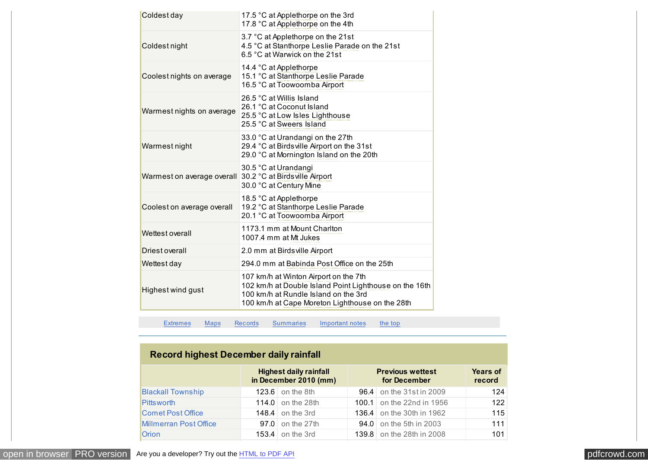<span id="page-5-0"></span>

| Coldest day                | 17.5 °C at Applethorpe on the 3rd<br>17.8 °C at Applethorpe on the 4th                                                                                                                     |
|----------------------------|--------------------------------------------------------------------------------------------------------------------------------------------------------------------------------------------|
| Coldest night              | 3.7 °C at Applethorpe on the 21st<br>4.5 °C at Stanthorpe Leslie Parade on the 21st<br>6.5 °C at Warwick on the 21st                                                                       |
| Coolest nights on average  | 14.4 °C at Applethorpe<br>15.1 °C at Stanthorpe Leslie Parade<br>16.5 °C at Toowoomba Airport                                                                                              |
| Warmest nights on average  | 26.5 °C at Willis Island<br>26.1 °C at Coconut Island<br>25.5 °C at Low Isles Lighthouse<br>25.5 °C at Sweers Island                                                                       |
| Warmest night              | 33.0 °C at Urandangi on the 27th<br>29.4 °C at Birds ville Airport on the 31st<br>29.0 °C at Mornington Island on the 20th                                                                 |
| Warmest on average overall | 30.5 °C at Urandangi<br>30.2 °C at Birds ville Airport<br>30.0 °C at Century Mine                                                                                                          |
| Coolest on average overall | 18.5 °C at Applethorpe<br>19.2 °C at Stanthorpe Leslie Parade<br>20.1 °C at Toowoomba Airport                                                                                              |
| Wettest overall            | 1173.1 mm at Mount Charlton<br>1007.4 mm at Mt Jukes                                                                                                                                       |
| Driest overall             | 2.0 mm at Birds ville Airport                                                                                                                                                              |
| Wettest day                | 294.0 mm at Babinda Post Office on the 25th                                                                                                                                                |
| Highest wind gust          | 107 km/h at Winton Airport on the 7th<br>102 km/h at Double Island Point Lighthouse on the 16th<br>100 km/h at Rundle Island on the 3rd<br>100 km/h at Cape Moreton Lighthouse on the 28th |

[Extremes](#page-4-0) [Maps](#page-0-0) Records [Summaries](#page-13-0) [Important notes](#page-17-0) [the top](#page-0-0)

# **Record highest December daily rainfall**

|                               | <b>Highest daily rainfall</b><br>in December 2010 (mm) | <b>Previous wettest</b><br>for December |                           | <b>Years of</b><br>record |
|-------------------------------|--------------------------------------------------------|-----------------------------------------|---------------------------|---------------------------|
| <b>Blackall Township</b>      | $123.6$ on the 8th                                     |                                         | 96.4 on the 31st in 2009  | 124                       |
| <b>Pitts worth</b>            | 114.0 on the 28th                                      |                                         | 100.1 on the 22nd in 1956 | 122                       |
| <b>Comet Post Office</b>      | 148.4 on the 3rd                                       |                                         | 136.4 on the 30th in 1962 | 115                       |
| <b>Millmerran Post Office</b> | $97.0$ on the 27th                                     |                                         | 94.0 on the 5th in 2003   | 111                       |
| <b>Orion</b>                  | 153.4 on the 3rd                                       |                                         | 139.8 on the 28th in 2008 | 101                       |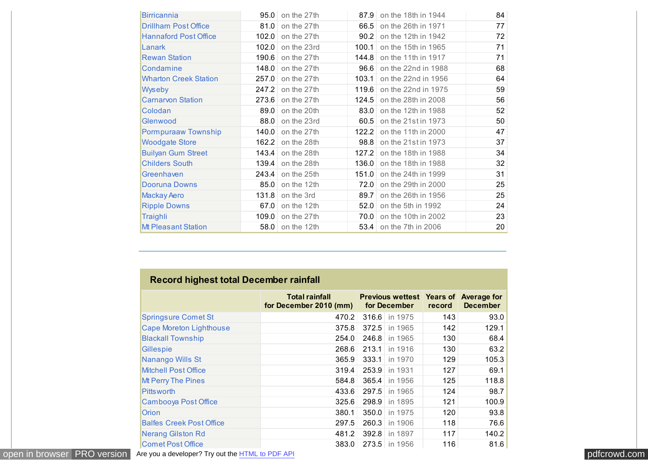<span id="page-6-0"></span>

| <b>Birricannia</b>           |       | $95.0$ on the 27th |       | 87.9 on the 18th in 1944       | 84 |
|------------------------------|-------|--------------------|-------|--------------------------------|----|
| <b>Drillham Post Office</b>  |       | $81.0$ on the 27th | 66.5  | on the 26th in 1971            | 77 |
| <b>Hannaford Post Office</b> | 102.0 | on the 27th        | 90.2  | on the 12th in 1942            | 72 |
| Lanark                       | 102.0 | on the 23rd        | 100.1 | on the 15th in 1965            | 71 |
| <b>Rewan Station</b>         |       | 190.6 on the 27th  |       | 144.8 on the 11th in 1917      | 71 |
| Condamine                    |       | 148.0 on the 27th  |       | 96.6 on the 22nd in 1988       | 68 |
| <b>Wharton Creek Station</b> |       | 257.0 on the 27th  | 103.1 | on the 22nd in 1956            | 64 |
| Wyseby                       | 247.2 | on the 27th        |       | 119.6 on the 22nd in 1975      | 59 |
| <b>Carnarvon Station</b>     | 273.6 | on the 27th        |       | 124.5 on the 28th in 2008      | 56 |
| Colodan                      | 89.0  | on the 20th        | 83.0  | on the 12th in 1988            | 52 |
| Glenwood                     | 88.0  | on the 23rd        |       | 60.5 on the 21st in 1973       | 50 |
| Pormpuraaw Township          | 140.0 | on the 27th        | 122.2 | on the 11th in 2000            | 47 |
| <b>Woodgate Store</b>        |       | 162.2 on the 28th  | 98.8  | on the 21st in 1973            | 37 |
| <b>Builyan Gum Street</b>    | 143.4 | on the 28th        | 127.2 | on the 18th in 1988            | 34 |
| <b>Childers South</b>        | 139.4 | on the 28th        |       | 136.0 on the 18th in 1988      | 32 |
| Greenhaven                   | 243.4 | on the 25th        |       | 151.0 on the 24th in 1999      | 31 |
| Dooruna Downs                | 85.0  | on the 12th        |       | 72.0 on the 29th in 2000       | 25 |
| <b>Mackay Aero</b>           | 131.8 | on the 3rd         | 89.7  | on the 26th in 1956            | 25 |
| <b>Ripple Downs</b>          |       | $67.0$ on the 12th |       | <b>52.0</b> on the 5th in 1992 | 24 |
| <b>Traighli</b>              | 109.0 | on the 27th        |       | 70.0 on the 10th in 2002       | 23 |
| <b>Mt Pleasant Station</b>   | 58.0  | on the 12th        |       | 53.4 on the 7th in 2006        | 20 |

|                                 | Total rainfall<br>for December 2010 (mm) | <b>Previous wettest Years of Average for</b><br>for December | record | <b>December</b> |
|---------------------------------|------------------------------------------|--------------------------------------------------------------|--------|-----------------|
| <b>Springsure Comet St</b>      | 470.2                                    | 316.6 in 1975                                                | 143    | 93.0            |
| <b>Cape Moreton Lighthouse</b>  | 375.8                                    | 372.5 in 1965                                                | 142    | 129.1           |
| <b>Blackall Township</b>        | 254.0                                    | 246.8 in 1965                                                | 130    | 68.4            |
| Gillespie                       | 268.6                                    | 213.1 in 1916                                                | 130    | 63.2            |
| Nanango Wills St                | 365.9                                    | 333.1<br>in 1970                                             | 129    | 105.3           |
| <b>Mitchell Post Office</b>     | 319.4                                    | 253.9 in 1931                                                | 127    | 69.1            |
| <b>Mt Perry The Pines</b>       | 584.8                                    | 365.4<br>in 1956                                             | 125    | 118.8           |
| <b>Pitts worth</b>              | 433.6                                    | 297.5 in 1965                                                | 124    | 98.7            |
| Cambooya Post Office            | 325.6                                    | 298.9<br>in 1895                                             | 121    | 100.9           |
| <b>Orion</b>                    | 380.1                                    | 350.0 in 1975                                                | 120    | 93.8            |
| <b>Balfes Creek Post Office</b> | 297.5                                    | 260.3<br>in 1906                                             | 118    | 76.6            |
| <b>Nerang Gilston Rd</b>        | 481.2                                    | 392.8 in 1897                                                | 117    | 140.2           |
| <b>Comet Post Office</b>        | 383.0                                    | 273.5 in 1956                                                | 116    | 81.6            |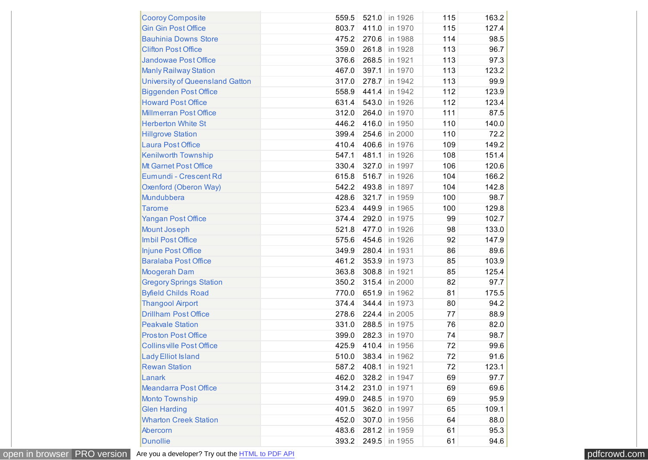| <b>Cooroy Composite</b>                | 559.5 | 521.0 | in 1926       | 115 | 163.2 |
|----------------------------------------|-------|-------|---------------|-----|-------|
| <b>Gin Gin Post Office</b>             | 803.7 | 411.0 | in 1970       | 115 | 127.4 |
| <b>Bauhinia Downs Store</b>            | 475.2 | 270.6 | in 1988       | 114 | 98.5  |
| <b>Clifton Post Office</b>             | 359.0 | 261.8 | in 1928       | 113 | 96.7  |
| <b>Jandowae Post Office</b>            | 376.6 | 268.5 | in 1921       | 113 | 97.3  |
| <b>Manly Railway Station</b>           | 467.0 | 397.1 | in 1970       | 113 | 123.2 |
| <b>University of Queensland Gatton</b> | 317.0 | 278.7 | in 1942       | 113 | 99.9  |
| <b>Biggenden Post Office</b>           | 558.9 | 441.4 | in 1942       | 112 | 123.9 |
| <b>Howard Post Office</b>              | 631.4 | 543.0 | in 1926       | 112 | 123.4 |
| <b>Millmerran Post Office</b>          | 312.0 | 264.0 | in 1970       | 111 | 87.5  |
| <b>Herberton White St</b>              | 446.2 | 416.0 | in 1950       | 110 | 140.0 |
| <b>Hillgrove Station</b>               | 399.4 | 254.6 | in 2000       | 110 | 72.2  |
| <b>Laura Post Office</b>               | 410.4 | 406.6 | in 1976       | 109 | 149.2 |
| Kenilworth Township                    | 547.1 | 481.1 | in 1926       | 108 | 151.4 |
| Mt Garnet Post Office                  | 330.4 | 327.0 | in 1997       | 106 | 120.6 |
| Eumundi - Crescent Rd                  | 615.8 | 516.7 | in 1926       | 104 | 166.2 |
| Oxenford (Oberon Way)                  | 542.2 | 493.8 | in 1897       | 104 | 142.8 |
| Mundubbera                             | 428.6 | 321.7 | in 1959       | 100 | 98.7  |
| <b>Tarome</b>                          | 523.4 | 449.9 | in 1965       | 100 | 129.8 |
| <b>Yangan Post Office</b>              | 374.4 | 292.0 | in 1975       | 99  | 102.7 |
| <b>Mount Joseph</b>                    | 521.8 | 477.0 | in 1926       | 98  | 133.0 |
| Imbil Post Office                      | 575.6 | 454.6 | in 1926       | 92  | 147.9 |
| <b>Injune Post Office</b>              | 349.9 | 280.4 | in 1931       | 86  | 89.6  |
| <b>Baralaba Post Office</b>            | 461.2 | 353.9 | in 1973       | 85  | 103.9 |
| <b>Moogerah Dam</b>                    | 363.8 | 308.8 | in 1921       | 85  | 125.4 |
| <b>Gregory Springs Station</b>         | 350.2 | 315.4 | in 2000       | 82  | 97.7  |
| <b>Byfield Childs Road</b>             | 770.0 | 651.9 | in 1962       | 81  | 175.5 |
| <b>Thangool Airport</b>                | 374.4 | 344.4 | in 1973       | 80  | 94.2  |
| <b>Drillham Post Office</b>            | 278.6 | 224.4 | in 2005       | 77  | 88.9  |
| <b>Peakvale Station</b>                | 331.0 | 288.5 | in 1975       | 76  | 82.0  |
| <b>Proston Post Office</b>             | 399.0 | 282.3 | in 1970       | 74  | 98.7  |
| <b>Collins ville Post Office</b>       | 425.9 | 410.4 | in 1956       | 72  | 99.6  |
| <b>Lady Elliot Island</b>              | 510.0 |       | 383.4 in 1962 | 72  | 91.6  |
| <b>Rewan Station</b>                   | 587.2 |       | 408.1 in 1921 | 72  | 123.1 |
| Lanark                                 | 462.0 | 328.2 | in 1947       | 69  | 97.7  |
| <b>Meandarra Post Office</b>           | 314.2 | 231.0 | in 1971       | 69  | 69.6  |
| <b>Monto Township</b>                  | 499.0 | 248.5 | in 1970       | 69  | 95.9  |
| <b>Glen Harding</b>                    | 401.5 | 362.0 | in 1997       | 65  | 109.1 |
| <b>Wharton Creek Station</b>           | 452.0 | 307.0 | in 1956       | 64  | 88.0  |
| Abercorn                               | 483.6 | 281.2 | in 1959       | 61  | 95.3  |
| <b>Dunollie</b>                        | 393.2 | 249.5 | in 1955       | 61  | 94.6  |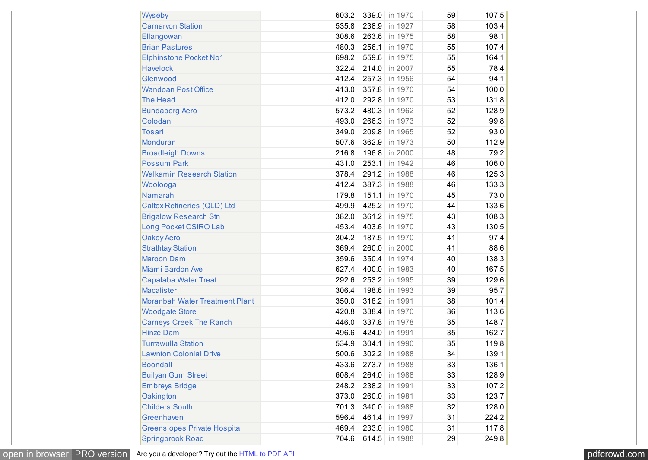| Wyseby                              | 603.2 | 339.0 | in 1970       | 59 | 107.5 |
|-------------------------------------|-------|-------|---------------|----|-------|
| <b>Carnarvon Station</b>            | 535.8 | 238.9 | in 1927       | 58 | 103.4 |
| Ellangowan                          | 308.6 | 263.6 | in 1975       | 58 | 98.1  |
| <b>Brian Pastures</b>               | 480.3 | 256.1 | in 1970       | 55 | 107.4 |
| <b>Elphinstone Pocket No1</b>       | 698.2 | 559.6 | in 1975       | 55 | 164.1 |
| <b>Havelock</b>                     | 322.4 | 214.0 | in 2007       | 55 | 78.4  |
| Glenwood                            | 412.4 | 257.3 | in 1956       | 54 | 94.1  |
| <b>Wandoan Post Office</b>          | 413.0 | 357.8 | in 1970       | 54 | 100.0 |
| <b>The Head</b>                     | 412.0 | 292.8 | in 1970       | 53 | 131.8 |
| <b>Bundaberg Aero</b>               | 573.2 | 480.3 | in 1962       | 52 | 128.9 |
| Colodan                             | 493.0 | 266.3 | in 1973       | 52 | 99.8  |
| <b>Tosari</b>                       | 349.0 | 209.8 | in 1965       | 52 | 93.0  |
| <b>Monduran</b>                     | 507.6 | 362.9 | in 1973       | 50 | 112.9 |
| <b>Broadleigh Downs</b>             | 216.8 | 196.8 | in 2000       | 48 | 79.2  |
| <b>Possum Park</b>                  | 431.0 | 253.1 | in 1942       | 46 | 106.0 |
| <b>Walkamin Research Station</b>    | 378.4 | 291.2 | in 1988       | 46 | 125.3 |
| Woolooga                            | 412.4 | 387.3 | in 1988       | 46 | 133.3 |
| <b>Namarah</b>                      | 179.8 | 151.1 | in 1970       | 45 | 73.0  |
| <b>Caltex Refineries (QLD) Ltd</b>  | 499.9 | 425.2 | in 1970       | 44 | 133.6 |
| <b>Brigalow Research Stn</b>        | 382.0 | 361.2 | in 1975       | 43 | 108.3 |
| Long Pocket CSIRO Lab               | 453.4 | 403.6 | in 1970       | 43 | 130.5 |
| <b>Oakey Aero</b>                   | 304.2 | 187.5 | in 1970       | 41 | 97.4  |
| <b>Strathtay Station</b>            | 369.4 | 260.0 | in 2000       | 41 | 88.6  |
| <b>Maroon Dam</b>                   | 359.6 | 350.4 | in 1974       | 40 | 138.3 |
| Miami Bardon Ave                    | 627.4 | 400.0 | in 1983       | 40 | 167.5 |
| <b>Capalaba Water Treat</b>         | 292.6 | 253.2 | in 1995       | 39 | 129.6 |
| <b>Macalister</b>                   | 306.4 | 198.6 | in 1993       | 39 | 95.7  |
| Moranbah Water Treatment Plant      | 350.0 | 318.2 | in 1991       | 38 | 101.4 |
| <b>Woodgate Store</b>               | 420.8 | 338.4 | in 1970       | 36 | 113.6 |
| <b>Carneys Creek The Ranch</b>      | 446.0 | 337.8 | in 1978       | 35 | 148.7 |
| <b>Hinze Dam</b>                    | 496.6 | 424.0 | in 1991       | 35 | 162.7 |
| <b>Turrawulla Station</b>           | 534.9 | 304.1 | in 1990       | 35 | 119.8 |
| <b>Lawnton Colonial Drive</b>       | 500.6 |       | 302.2 in 1988 | 34 | 139.1 |
| <b>Boondall</b>                     | 433.6 |       | 273.7 in 1988 | 33 | 136.1 |
| <b>Builyan Gum Street</b>           | 608.4 | 264.0 | in 1988       | 33 | 128.9 |
| <b>Embreys Bridge</b>               | 248.2 | 238.2 | in 1991       | 33 | 107.2 |
| Oakington                           | 373.0 | 260.0 | in 1981       | 33 | 123.7 |
| <b>Childers South</b>               | 701.3 | 340.0 | in 1988       | 32 | 128.0 |
| Greenhaven                          | 596.4 | 461.4 | in 1997       | 31 | 224.2 |
| <b>Greenslopes Private Hospital</b> | 469.4 | 233.0 | in 1980       | 31 | 117.8 |
| <b>Springbrook Road</b>             | 704.6 |       | 614.5 in 1988 | 29 | 249.8 |

[open in browser](http://pdfcrowd.com/redirect/?url=http%3a%2f%2fwww.bom.gov.au%2fclimate%2fcurrent%2fmonth%2fqld%2farchive%2f201012.summary.shtml&id=ma-161201020418-cdfeabec) [PRO version](http://pdfcrowd.com/customize/) Are you a developer? Try out th[e HTML to PDF API](http://pdfcrowd.com/html-to-pdf-api/?ref=pdf) position of the ATML to PDF API [pdfcrowd.com](http://pdfcrowd.com)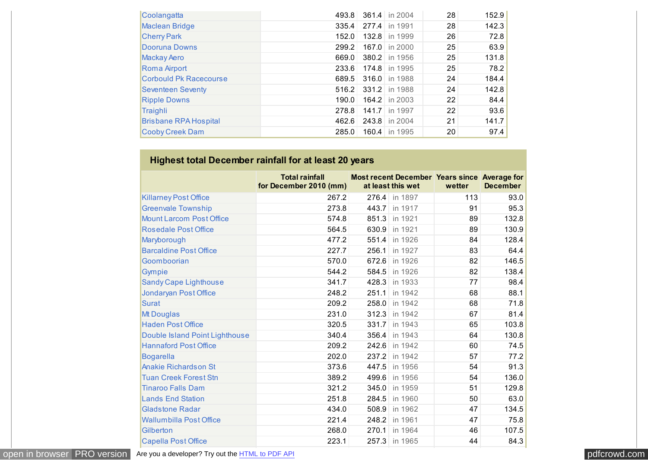<span id="page-9-0"></span>

| Coolangatta                   | 493.8 |       | 361.4 in 2004   | 28 | 152.9 |
|-------------------------------|-------|-------|-----------------|----|-------|
| <b>Maclean Bridge</b>         | 335.4 |       | 277.4 in 1991   | 28 | 142.3 |
| <b>Cherry Park</b>            | 152.0 |       | 132.8 in 1999   | 26 | 72.8  |
| Dooruna Downs                 | 299.2 |       | 167.0   in 2000 | 25 | 63.9  |
| <b>Mackay Aero</b>            | 669.0 |       | 380.2 in 1956   | 25 | 131.8 |
| <b>Roma Airport</b>           | 233.6 |       | 174.8 in 1995   | 25 | 78.2  |
| <b>Corbould Pk Racecourse</b> | 689.5 |       | 316.0 in 1988   | 24 | 184.4 |
| <b>Seventeen Seventy</b>      | 516.2 |       | 331.2 in 1988   | 24 | 142.8 |
| <b>Ripple Downs</b>           | 190.0 |       | 164.2 in 2003   | 22 | 84.4  |
| Traighli                      | 278.8 | 141.7 | in 1997         | 22 | 93.6  |
| <b>Brisbane RPA Hospital</b>  | 462.6 |       | 243.8 in 2004   | 21 | 141.7 |
| <b>Cooby Creek Dam</b>        | 285.0 |       | 160.4 in 1995   | 20 | 97.4  |

# **Highest total December rainfall for at least 20 years**

|                                 | <b>Total rainfall</b><br>for December 2010 (mm) | <b>Most recent December Years since Average for</b><br>at least this wet | wetter | <b>December</b> |
|---------------------------------|-------------------------------------------------|--------------------------------------------------------------------------|--------|-----------------|
| <b>Killarney Post Office</b>    | 267.2                                           | 276.4 in 1897                                                            | 113    | 93.0            |
| <b>Greenvale Township</b>       | 273.8                                           | 443.7 in 1917                                                            | 91     | 95.3            |
| <b>Mount Larcom Post Office</b> | 574.8                                           | 851.3<br>in 1921                                                         | 89     | 132.8           |
| <b>Rosedale Post Office</b>     | 564.5                                           | 630.9<br>in 1921                                                         | 89     | 130.9           |
| Maryborough                     | 477.2                                           | 551.4<br>in 1926                                                         | 84     | 128.4           |
| <b>Barcaldine Post Office</b>   | 227.7                                           | 256.1<br>in 1927                                                         | 83     | 64.4            |
| Goomboorian                     | 570.0                                           | 672.6<br>in 1926                                                         | 82     | 146.5           |
| Gympie                          | 544.2                                           | 584.5<br>in 1926                                                         | 82     | 138.4           |
| <b>Sandy Cape Lighthouse</b>    | 341.7                                           | 428.3<br>in 1933                                                         | 77     | 98.4            |
| Jondaryan Post Office           | 248.2                                           | 251.1<br>in 1942                                                         | 68     | 88.1            |
| <b>Surat</b>                    | 209.2                                           | 258.0<br>in 1942                                                         | 68     | 71.8            |
| Mt Douglas                      | 231.0                                           | 312.3<br>in 1942                                                         | 67     | 81.4            |
| <b>Haden Post Office</b>        | 320.5                                           | 331.7<br>in 1943                                                         | 65     | 103.8           |
| Double Island Point Lighthouse  | 340.4                                           | 356.4<br>in 1943                                                         | 64     | 130.8           |
| <b>Hannaford Post Office</b>    | 209.2                                           | 242.6<br>in 1942                                                         | 60     | 74.5            |
| <b>Bogarella</b>                | 202.0                                           | 237.2<br>in 1942                                                         | 57     | 77.2            |
| <b>Anakie Richardson St</b>     | 373.6                                           | 447.5<br>in 1956                                                         | 54     | 91.3            |
| <b>Tuan Creek Forest Stn</b>    | 389.2                                           | 499.6<br>in 1956                                                         | 54     | 136.0           |
| <b>Tinaroo Falls Dam</b>        | 321.2                                           | 345.0<br>in 1959                                                         | 51     | 129.8           |
| <b>Lands End Station</b>        | 251.8                                           | 284.5<br>in 1960                                                         | 50     | 63.0            |
| <b>Gladstone Radar</b>          | 434.0                                           | 508.9<br>in 1962                                                         | 47     | 134.5           |
| <b>Wallumbilla Post Office</b>  | 221.4                                           | 248.2<br>in 1961                                                         | 47     | 75.8            |
| Gilberton                       | 268.0                                           | 270.1<br>in 1964                                                         | 46     | 107.5           |
| <b>Capella Post Office</b>      | 223.1                                           | 257.3 in 1965                                                            | 44     | 84.3            |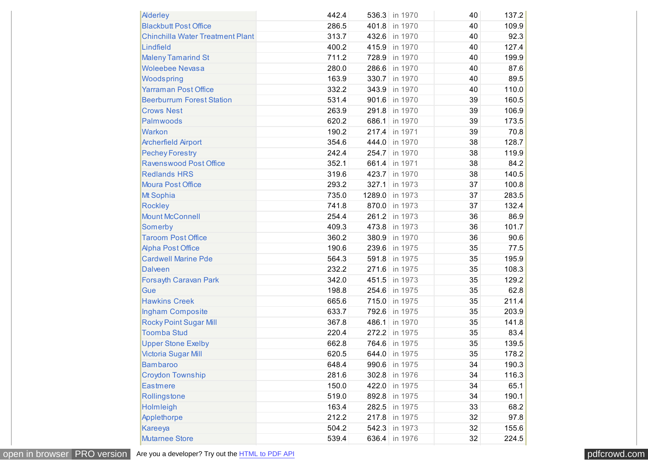| <b>Alderley</b>                         | 442.4 |       | 536.3 in 1970  | 40 | 137.2 |
|-----------------------------------------|-------|-------|----------------|----|-------|
| <b>Blackbutt Post Office</b>            | 286.5 |       | 401.8 in 1970  | 40 | 109.9 |
| <b>Chinchilla Water Treatment Plant</b> | 313.7 |       | 432.6 in 1970  | 40 | 92.3  |
| Lindfield                               | 400.2 |       | 415.9 in 1970  | 40 | 127.4 |
| <b>Maleny Tamarind St</b>               | 711.2 |       | 728.9 in 1970  | 40 | 199.9 |
| <b>Woleebee Nevasa</b>                  | 280.0 |       | 286.6 in 1970  | 40 | 87.6  |
| Woodspring                              | 163.9 |       | 330.7 in 1970  | 40 | 89.5  |
| <b>Yarraman Post Office</b>             | 332.2 |       | 343.9 in 1970  | 40 | 110.0 |
| <b>Beerburrum Forest Station</b>        | 531.4 |       | 901.6 in 1970  | 39 | 160.5 |
| <b>Crows Nest</b>                       | 263.9 |       | 291.8 in 1970  | 39 | 106.9 |
| Palmwoods                               | 620.2 |       | 686.1 in 1970  | 39 | 173.5 |
| <b>Warkon</b>                           | 190.2 |       | 217.4 in 1971  | 39 | 70.8  |
| <b>Archerfield Airport</b>              | 354.6 |       | 444.0 in 1970  | 38 | 128.7 |
| <b>Pechey Forestry</b>                  | 242.4 |       | 254.7 in 1970  | 38 | 119.9 |
| <b>Ravenswood Post Office</b>           | 352.1 |       | 661.4 in 1971  | 38 | 84.2  |
| <b>Redlands HRS</b>                     | 319.6 |       | 423.7 in 1970  | 38 | 140.5 |
| <b>Moura Post Office</b>                | 293.2 |       | 327.1 in 1973  | 37 | 100.8 |
| Mt Sophia                               | 735.0 |       | 1289.0 in 1973 | 37 | 283.5 |
| <b>Rockley</b>                          | 741.8 |       | 870.0 in 1973  | 37 | 132.4 |
| <b>Mount McConnell</b>                  | 254.4 |       | 261.2 in 1973  | 36 | 86.9  |
| Somerby                                 | 409.3 |       | 473.8 in 1973  | 36 | 101.7 |
| <b>Taroom Post Office</b>               | 360.2 |       | 380.9 in 1970  | 36 | 90.6  |
| <b>Alpha Post Office</b>                | 190.6 |       | 239.6 in 1975  | 35 | 77.5  |
| <b>Cardwell Marine Pde</b>              | 564.3 |       | 591.8 in 1975  | 35 | 195.9 |
| <b>Dalveen</b>                          | 232.2 | 271.6 | in 1975        | 35 | 108.3 |
| Forsayth Caravan Park                   | 342.0 | 451.5 | in 1973        | 35 | 129.2 |
| Gue                                     | 198.8 |       | 254.6 in 1975  | 35 | 62.8  |
| <b>Hawkins Creek</b>                    | 665.6 |       | 715.0 in 1975  | 35 | 211.4 |
| Ingham Composite                        | 633.7 |       | 792.6 in 1975  | 35 | 203.9 |
| <b>Rocky Point Sugar Mill</b>           | 367.8 |       | 486.1 in 1970  | 35 | 141.8 |
| <b>Toomba Stud</b>                      | 220.4 |       | 272.2 in 1975  | 35 | 83.4  |
| <b>Upper Stone Exelby</b>               | 662.8 |       | 764.6 in 1975  | 35 | 139.5 |
| <b>Victoria Sugar Mill</b>              | 620.5 |       | 644.0 in 1975  | 35 | 178.2 |
| <b>Bambaroo</b>                         | 648.4 |       | 990.6 in 1975  | 34 | 190.3 |
| <b>Croydon Township</b>                 | 281.6 |       | 302.8 in 1976  | 34 | 116.3 |
| <b>Eastmere</b>                         | 150.0 |       | 422.0 in 1975  | 34 | 65.1  |
| Rollingstone                            | 519.0 |       | 892.8 in 1975  | 34 | 190.1 |
| Holmleigh                               | 163.4 |       | 282.5 in 1975  | 33 | 68.2  |
| Applethorpe                             | 212.2 |       | 217.8 in 1975  | 32 | 97.8  |
| Kareeya                                 | 504.2 |       | 542.3 in 1973  | 32 | 155.6 |
| <b>Mutarnee Store</b>                   | 539.4 |       | 636.4 in 1976  | 32 | 224.5 |

[open in browser](http://pdfcrowd.com/redirect/?url=http%3a%2f%2fwww.bom.gov.au%2fclimate%2fcurrent%2fmonth%2fqld%2farchive%2f201012.summary.shtml&id=ma-161201020418-cdfeabec) [PRO version](http://pdfcrowd.com/customize/) Are you a developer? Try out the **HTML to PDF API** provesses and the extendion of the MTML to PDF API posted and the extendion of the extendion of the extendion of the extendion of the extendion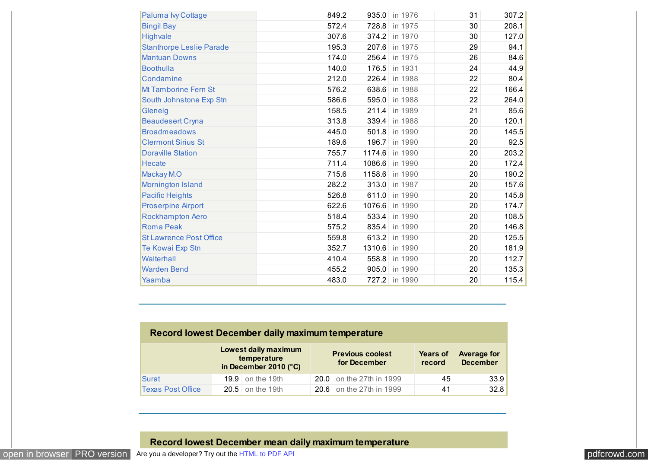<span id="page-11-0"></span>

| Paluma Ivy Cottage              | 849.2 | 935.0  | in 1976 | 31 | 307.2 |
|---------------------------------|-------|--------|---------|----|-------|
| <b>Bingil Bay</b>               | 572.4 | 728.8  | in 1975 | 30 | 208.1 |
| Highvale                        | 307.6 | 374.2  | in 1970 | 30 | 127.0 |
| <b>Stanthorpe Leslie Parade</b> | 195.3 | 207.6  | in 1975 | 29 | 94.1  |
| <b>Mantuan Downs</b>            | 174.0 | 256.4  | in 1975 | 26 | 84.6  |
| <b>Boothulla</b>                | 140.0 | 176.5  | in 1931 | 24 | 44.9  |
| Condamine                       | 212.0 | 226.4  | in 1988 | 22 | 80.4  |
| <b>Mt Tamborine Fern St</b>     | 576.2 | 638.6  | in 1988 | 22 | 166.4 |
| South Johnstone Exp Stn         | 586.6 | 595.0  | in 1988 | 22 | 264.0 |
| Glenelg                         | 158.5 | 211.4  | in 1989 | 21 | 85.6  |
| <b>Beaudesert Cryna</b>         | 313.8 | 339.4  | in 1988 | 20 | 120.1 |
| <b>Broadmeadows</b>             | 445.0 | 501.8  | in 1990 | 20 | 145.5 |
| <b>Clermont Sirius St</b>       | 189.6 | 196.7  | in 1990 | 20 | 92.5  |
| <b>Doraville Station</b>        | 755.7 | 1174.6 | in 1990 | 20 | 203.2 |
| <b>Hecate</b>                   | 711.4 | 1086.6 | in 1990 | 20 | 172.4 |
| Mackay M.O                      | 715.6 | 1158.6 | in 1990 | 20 | 190.2 |
| Mornington Island               | 282.2 | 313.0  | in 1987 | 20 | 157.6 |
| <b>Pacific Heights</b>          | 526.8 | 611.0  | in 1990 | 20 | 145.8 |
| <b>Proserpine Airport</b>       | 622.6 | 1076.6 | in 1990 | 20 | 174.7 |
| Rockhampton Aero                | 518.4 | 533.4  | in 1990 | 20 | 108.5 |
| <b>Roma Peak</b>                | 575.2 | 835.4  | in 1990 | 20 | 146.8 |
| <b>St Lawrence Post Office</b>  | 559.8 | 613.2  | in 1990 | 20 | 125.5 |
| Te Kowai Exp Stn                | 352.7 | 1310.6 | in 1990 | 20 | 181.9 |
| Walterhall                      | 410.4 | 558.8  | in 1990 | 20 | 112.7 |
| <b>Warden Bend</b>              | 455.2 | 905.0  | in 1990 | 20 | 135.3 |
| Yaamba                          | 483.0 | 727.2  | in 1990 | 20 | 115.4 |

| Record lowest December daily maximum temperature |  |                                                              |  |                                         |                           |                                       |  |  |  |  |  |
|--------------------------------------------------|--|--------------------------------------------------------------|--|-----------------------------------------|---------------------------|---------------------------------------|--|--|--|--|--|
|                                                  |  | Lowest daily maximum<br>temperature<br>in December 2010 (°C) |  | <b>Previous coolest</b><br>for December | <b>Years of</b><br>record | <b>Average for</b><br><b>December</b> |  |  |  |  |  |
| Surat                                            |  | 19.9 on the 19th                                             |  | 20.0 on the 27th in 1999                | 45                        | 33.9                                  |  |  |  |  |  |
| <b>Texas Post Office</b>                         |  | $20.5$ on the 19th                                           |  | 20.6 on the 27th in 1999                | 41                        | 32.8                                  |  |  |  |  |  |

## **Record lowest December mean daily maximum temperature**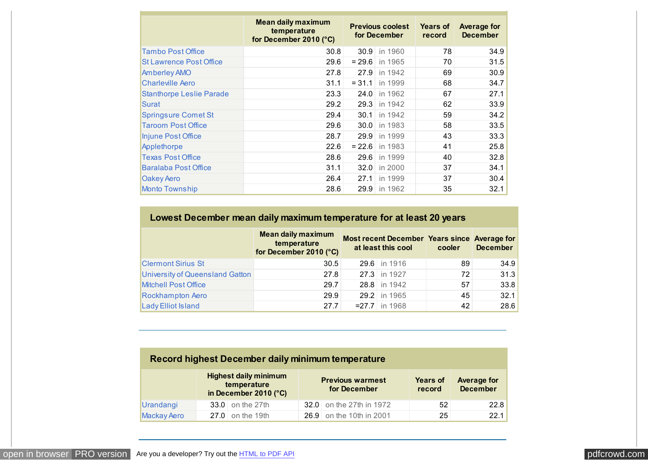<span id="page-12-0"></span>

|                                 | <b>Mean daily maximum</b><br>temperature<br>for December 2010 (°C) |          | <b>Previous coolest</b><br>for December | <b>Years of</b><br>record | <b>Average for</b><br><b>December</b> |
|---------------------------------|--------------------------------------------------------------------|----------|-----------------------------------------|---------------------------|---------------------------------------|
| <b>Tambo Post Office</b>        | 30.8                                                               |          | 30.9 in 1960                            | 78                        | 34.9                                  |
| <b>St Lawrence Post Office</b>  | 29.6                                                               | $= 29.6$ | in 1965                                 | 70                        | 31.5                                  |
| <b>Amberley AMO</b>             | 27.8                                                               | 27.9     | in 1942                                 | 69                        | 30.9                                  |
| <b>Charleville Aero</b>         | 31.1                                                               | $= 31.1$ | in 1999                                 | 68                        | 34.7                                  |
| <b>Stanthorpe Leslie Parade</b> | 23.3                                                               | 24.0     | in 1962                                 | 67                        | 27.1                                  |
| Surat                           | 29.2                                                               | 29.3     | in 1942                                 | 62                        | 33.9                                  |
| <b>Springsure Comet St</b>      | 29.4                                                               | 30.1     | in 1942                                 | 59                        | 34.2                                  |
| <b>Taroom Post Office</b>       | 29.6                                                               | 30.0     | in 1983                                 | 58                        | 33.5                                  |
| Injune Post Office              | 28.7                                                               | 29.9     | in 1999                                 | 43                        | 33.3                                  |
| Applethorpe                     | 22.6                                                               | $= 22.6$ | in 1983                                 | 41                        | 25.8                                  |
| <b>Texas Post Office</b>        | 28.6                                                               | 29.6     | in 1999                                 | 40                        | 32.8                                  |
| <b>Baralaba Post Office</b>     | 31.1                                                               | 32.0     | in 2000                                 | 37                        | 34.1                                  |
| Oakey Aero                      | 26.4                                                               | 27.1     | in 1999                                 | 37                        | 30.4                                  |
| <b>Monto Township</b>           | 28.6                                                               | 29.9     | in 1962                                 | 35                        | 32.1                                  |

## **Lowest December mean daily maximum temperature for at least 20 years**

|                                 | <b>Mean daily maximum</b><br>temperature<br>for December 2010 (°C) | Most recent December Years since Average for<br>at least this cool | cooler | <b>December</b> |
|---------------------------------|--------------------------------------------------------------------|--------------------------------------------------------------------|--------|-----------------|
| <b>Clermont Sirius St</b>       | 30.5                                                               | 29.6 in 1916                                                       | 89     | 34.9            |
| University of Queensland Gatton | 27.8                                                               | 27.3 in 1927                                                       | 72     | 31.3            |
| <b>Mitchell Post Office</b>     | 29.7                                                               | 28.8 in 1942                                                       | 57     | 33.8            |
| Rockhampton Aero                | 29.9                                                               | 29.2 in 1965                                                       | 45     | 32.1            |
| Lady Elliot Island              | 27.7                                                               | $= 27.7$ in 1968                                                   | 42     | 28.6            |

## **Record highest December daily minimum temperature**

|                    | <b>Highest daily minimum</b><br>temperature<br>in December 2010 ( $^{\circ}$ C) | <b>Previous warmest</b><br>for December | <b>Years of</b><br>record | <b>Average for</b><br><b>December</b> |
|--------------------|---------------------------------------------------------------------------------|-----------------------------------------|---------------------------|---------------------------------------|
| Urandangi          | $33.0$ on the 27th                                                              | 32.0 on the 27th in 1972                | 52                        | 22.8                                  |
| <b>Mackay Aero</b> | $27.0$ on the 19th                                                              | 26.9 on the 10th in 2001                | 25                        | 22.1                                  |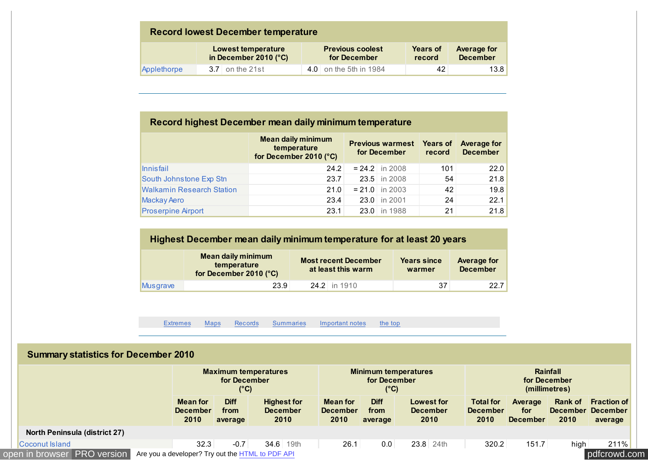<span id="page-13-0"></span>

| <b>Record lowest December temperature</b> |                                                               |                                         |                                                                    |  |  |  |  |  |  |  |  |
|-------------------------------------------|---------------------------------------------------------------|-----------------------------------------|--------------------------------------------------------------------|--|--|--|--|--|--|--|--|
|                                           | <b>Lowest temperature</b><br>in December 2010 ( $^{\circ}$ C) | <b>Previous coolest</b><br>for December | <b>Average for</b><br><b>Years of</b><br><b>December</b><br>record |  |  |  |  |  |  |  |  |
| Applethorpe                               | $3.7$ on the 21st                                             | 4.0 on the 5th in 1984                  | 13.8<br>42                                                         |  |  |  |  |  |  |  |  |

## **Record highest December mean daily minimum temperature**

|                                  | <b>Mean daily minimum</b><br>temperature<br>for December 2010 (°C) | <b>Previous warmest</b><br>for December | <b>Years of</b><br>record | <b>Average for</b><br><b>December</b> |
|----------------------------------|--------------------------------------------------------------------|-----------------------------------------|---------------------------|---------------------------------------|
| Innisfail                        | 24.2                                                               | $= 24.2$ in 2008                        | 101                       | 22.0                                  |
| South Johnstone Exp Stn          | 23.7                                                               | 23.5 in 2008                            | 54                        | 21.8                                  |
| <b>Walkamin Research Station</b> | 21.0                                                               | $= 21.0$ in 2003                        | 42                        | 19.8                                  |
| <b>Mackay Aero</b>               | 23.4                                                               | 23.0 in 2001                            | 24                        | 22.1                                  |
| <b>Proserpine Airport</b>        | 23.1                                                               | 23.0 in 1988                            | 21                        | 21.8                                  |

# **Highest December mean daily minimum temperature for at least 20 years**

|          | <b>Mean daily minimum</b><br>temperature<br>for December 2010 $(^{\circ}C)$ | <b>Most recent December</b><br>at least this warm | <b>Years since</b><br>warmer | Average for<br><b>December</b> |
|----------|-----------------------------------------------------------------------------|---------------------------------------------------|------------------------------|--------------------------------|
| Musgrave | 23.9                                                                        | $24.2$ in 1910                                    | 37                           | 22.7                           |

[Extremes](#page-4-0) [Maps](#page-0-0) [Records](#page-5-0) Summaries [Important notes](#page-17-0) [the top](#page-0-0)

## **Summary statistics for December 2010**

|                                               |                                                  | for December<br>(°C)           | <b>Maximum temperatures</b>                   |                                            | for December<br>$(^{\circ}C)$  | <b>Minimum temperatures</b>                  | Rainfall<br>for December<br>(millimetres)   |                                   |                 |                                                    |  |  |
|-----------------------------------------------|--------------------------------------------------|--------------------------------|-----------------------------------------------|--------------------------------------------|--------------------------------|----------------------------------------------|---------------------------------------------|-----------------------------------|-----------------|----------------------------------------------------|--|--|
|                                               | <b>Mean for</b><br><b>December</b><br>2010       | <b>Diff</b><br>from<br>average | <b>Highest for</b><br><b>December</b><br>2010 | <b>Mean for</b><br><b>December</b><br>2010 | <b>Diff</b><br>from<br>average | <b>Lowest for</b><br><b>December</b><br>2010 | <b>Total for</b><br><b>December</b><br>2010 | Average<br>for<br><b>December</b> | Rank of<br>2010 | <b>Fraction of</b><br>December December<br>average |  |  |
| North Peninsula (district 27)                 |                                                  |                                |                                               |                                            |                                |                                              |                                             |                                   |                 |                                                    |  |  |
| 32.3<br>Coconut Island<br>$-0.7$<br>34.6 19th |                                                  |                                |                                               | 26.1                                       | 0.0                            | 23.8 24th                                    | 320.2                                       | 151.7                             | high            | 211%                                               |  |  |
| open in browser PRO version                   | Are you a developer? Try out the HTML to PDF API |                                |                                               |                                            |                                |                                              |                                             |                                   |                 | pdfcrowd.com                                       |  |  |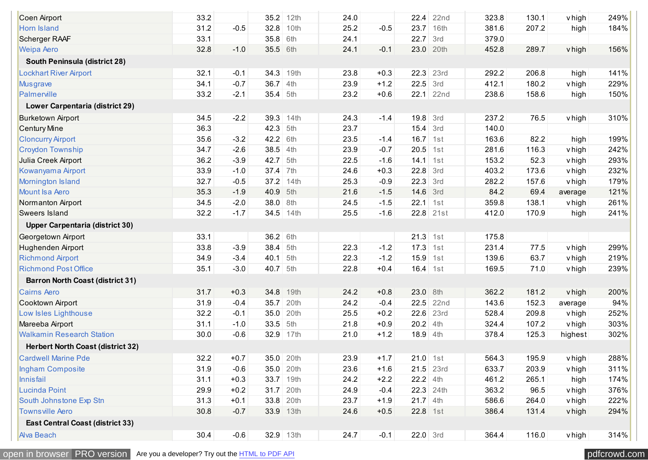| Coen Airport                             | 33.2 |        | 35.2      | 12th | 24.0 |        | 22.4       | 22 <sub>nd</sub> | 323.8 | 130.1 | v high        | 249% |
|------------------------------------------|------|--------|-----------|------|------|--------|------------|------------------|-------|-------|---------------|------|
| <b>Horn Island</b>                       | 31.2 | $-0.5$ | 32.8      | 10th | 25.2 | $-0.5$ | 23.7       | 16th             | 381.6 | 207.2 | high          | 184% |
| Scherger RAAF                            | 33.1 |        | 35.8      | 6th  | 24.1 |        | 22.7       | 3rd              | 379.0 |       |               |      |
| <b>Weipa Aero</b>                        | 32.8 | $-1.0$ | 35.5      | 6th  | 24.1 | $-0.1$ | 23.0       | 20th             | 452.8 | 289.7 | v high        | 156% |
| South Peninsula (district 28)            |      |        |           |      |      |        |            |                  |       |       |               |      |
| <b>Lockhart River Airport</b>            | 32.1 | $-0.1$ | 34.3      | 19th | 23.8 | $+0.3$ | 22.3       | 23rd             | 292.2 | 206.8 |               | 141% |
|                                          | 34.1 | $-0.7$ | 36.7      | 4th  | 23.9 | $+1.2$ | 22.5       | 3rd              | 412.1 | 180.2 | high          | 229% |
| <b>Musgrave</b><br>Palmerville           | 33.2 | $-2.1$ | 35.4      | 5th  | 23.2 | $+0.6$ |            | $22.1$ 22nd      | 238.6 | 158.6 | v high        | 150% |
|                                          |      |        |           |      |      |        |            |                  |       |       | high          |      |
| Lower Carpentaria (district 29)          |      |        |           |      |      |        |            |                  |       |       |               |      |
| <b>Burketown Airport</b>                 | 34.5 | $-2.2$ | 39.3      | 14th | 24.3 | $-1.4$ | $19.8$ 3rd |                  | 237.2 | 76.5  | v high        | 310% |
| <b>Century Mine</b>                      | 36.3 |        | 42.3      | 5th  | 23.7 |        | 15.4       | 3rd              | 140.0 |       |               |      |
| <b>Cloncurry Airport</b>                 | 35.6 | $-3.2$ | 42.2      | 6th  | 23.5 | $-1.4$ | 16.7       | 1st              | 163.6 | 82.2  | high          | 199% |
| <b>Croydon Township</b>                  | 34.7 | $-2.6$ | 38.5      | 4th  | 23.9 | $-0.7$ | 20.5       | 1st              | 281.6 | 116.3 | <b>v</b> high | 242% |
| Julia Creek Airport                      | 36.2 | $-3.9$ | 42.7      | 5th  | 22.5 | $-1.6$ | 14.1       | 1st              | 153.2 | 52.3  | <b>v</b> high | 293% |
| Kowanyama Airport                        | 33.9 | $-1.0$ | 37.4      | 7th  | 24.6 | $+0.3$ | 22.8       | 3rd              | 403.2 | 173.6 | v high        | 232% |
| <b>Mornington Island</b>                 | 32.7 | $-0.5$ | 37.2      | 14th | 25.3 | $-0.9$ | 22.3       | 3rd              | 282.2 | 157.6 | vhigh         | 179% |
| <b>Mount Isa Aero</b>                    | 35.3 | $-1.9$ | 40.9      | 5th  | 21.6 | $-1.5$ | 14.6       | 3rd              | 84.2  | 69.4  | average       | 121% |
| Normanton Airport                        | 34.5 | $-2.0$ | 38.0      | 8th  | 24.5 | $-1.5$ | 22.1       | 1st              | 359.8 | 138.1 | <b>v</b> high | 261% |
| <b>Sweers Island</b>                     | 32.2 | $-1.7$ | 34.5 14th |      | 25.5 | $-1.6$ |            | 22.8 21st        | 412.0 | 170.9 | high          | 241% |
| <b>Upper Carpentaria (district 30)</b>   |      |        |           |      |      |        |            |                  |       |       |               |      |
| Georgetown Airport                       | 33.1 |        | 36.2      | 6th  |      |        | $21.3$ 1st |                  | 175.8 |       |               |      |
| Hughenden Airport                        | 33.8 | $-3.9$ | 38.4      | 5th  | 22.3 | $-1.2$ | 17.3       | 1st              | 231.4 | 77.5  | <b>v</b> high | 299% |
| <b>Richmond Airport</b>                  | 34.9 | $-3.4$ | 40.1      | 5th  | 22.3 | $-1.2$ | 15.9       | 1st              | 139.6 | 63.7  | vhigh         | 219% |
| <b>Richmond Post Office</b>              | 35.1 | $-3.0$ | 40.7 5th  |      | 22.8 | $+0.4$ | $16.4$ 1st |                  | 169.5 | 71.0  | vhigh         | 239% |
| <b>Barron North Coast (district 31)</b>  |      |        |           |      |      |        |            |                  |       |       |               |      |
| <b>Cairns Aero</b>                       | 31.7 | $+0.3$ | 34.8      | 19th | 24.2 | $+0.8$ | 23.0 8th   |                  | 362.2 | 181.2 | vhigh         | 200% |
| Cooktown Airport                         | 31.9 | $-0.4$ | 35.7      | 20th | 24.2 | $-0.4$ | 22.5       | 22 <sub>nd</sub> | 143.6 | 152.3 | average       | 94%  |
| Low Isles Lighthouse                     | 32.2 | $-0.1$ | 35.0      | 20th | 25.5 | $+0.2$ | 22.6       | 23rd             | 528.4 | 209.8 | <b>v</b> high | 252% |
| Mareeba Airport                          | 31.1 | $-1.0$ | 33.5      | 5th  | 21.8 | $+0.9$ | $20.2$ 4th |                  | 324.4 | 107.2 | vhigh         | 303% |
| <b>Walkamin Research Station</b>         | 30.0 | $-0.6$ | 32.9      | 17th | 21.0 | $+1.2$ | 18.9       | 4th              | 378.4 | 125.3 | highest       | 302% |
| <b>Herbert North Coast (district 32)</b> |      |        |           |      |      |        |            |                  |       |       |               |      |
| <b>Cardwell Marine Pde</b>               | 32.2 | $+0.7$ | 35.0      | 20th | 23.9 | $+1.7$ | $21.0$ 1st |                  | 564.3 | 195.9 | v high        | 288% |
| Ingham Composite                         | 31.9 | $-0.6$ | 35.0      | 20th | 23.6 | $+1.6$ | 21.5       | 23rd             | 633.7 | 203.9 | v high        | 311% |
| Innisfail                                | 31.1 | $+0.3$ | 33.7 19th |      | 24.2 | $+2.2$ | $22.2$ 4th |                  | 461.2 | 265.1 | high          | 174% |
| Lucinda Point                            | 29.9 | $+0.2$ | 31.7      | 20th | 24.9 | $-0.4$ |            | 22.3 24th        | 363.2 | 96.5  | v high        | 376% |
| South Johnstone Exp Stn                  | 31.3 | $+0.1$ | 33.8      | 20th | 23.7 | $+1.9$ | $21.7$ 4th |                  | 586.6 | 264.0 | vhigh         | 222% |
| <b>Townsville Aero</b>                   | 30.8 | $-0.7$ | 33.9 13th |      | 24.6 | $+0.5$ | 22.8 1st   |                  | 386.4 | 131.4 | vhigh         | 294% |
| <b>East Central Coast (district 33)</b>  |      |        |           |      |      |        |            |                  |       |       |               |      |
| <b>Alva Beach</b>                        | 30.4 | $-0.6$ | 32.9 13th |      | 24.7 | $-0.1$ | $22.0$ 3rd |                  | 364.4 | 116.0 | v high        | 314% |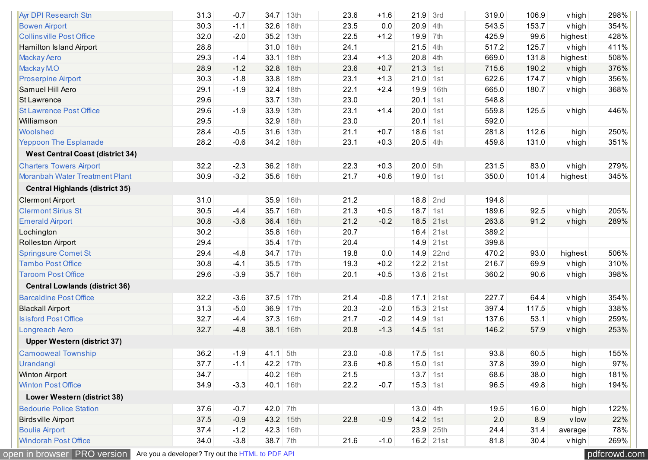| <b>Ayr DPI Research Stn</b>             | 31.3 | $-0.7$ | 34.7       | 13th | 23.6 | $+1.6$ | 21.9       | 3rd         | 319.0 | 106.9 | v high        | 298% |
|-----------------------------------------|------|--------|------------|------|------|--------|------------|-------------|-------|-------|---------------|------|
| <b>Bowen Airport</b>                    | 30.3 | $-1.1$ | 32.6       | 18th | 23.5 | 0.0    | 20.9       | 4th         | 543.5 | 153.7 | vhigh         | 354% |
| <b>Collins ville Post Office</b>        | 32.0 | $-2.0$ | 35.2       | 13th | 22.5 | $+1.2$ | 19.9       | 7th         | 425.9 | 99.6  | highest       | 428% |
| Hamilton Island Airport                 | 28.8 |        | 31.0       | 18th | 24.1 |        | 21.5       | 4th         | 517.2 | 125.7 | vhigh         | 411% |
| <b>Mackay Aero</b>                      | 29.3 | $-1.4$ | 33.1       | 18th | 23.4 | $+1.3$ | 20.8       | 4th         | 669.0 | 131.8 | highest       | 508% |
| Mackay M.O                              | 28.9 | $-1.2$ | 32.8       | 18th | 23.6 | $+0.7$ | 21.3       | 1st         | 715.6 | 190.2 | vhigh         | 376% |
| <b>Proserpine Airport</b>               | 30.3 | $-1.8$ | 33.8       | 18th | 23.1 | $+1.3$ | 21.0       | 1st         | 622.6 | 174.7 | <b>v</b> high | 356% |
| Samuel Hill Aero                        | 29.1 | $-1.9$ | 32.4       | 18th | 22.1 | $+2.4$ | 19.9       | 16th        | 665.0 | 180.7 | v high        | 368% |
| <b>St Lawrence</b>                      | 29.6 |        | 33.7       | 13th | 23.0 |        | 20.1       | 1st         | 548.8 |       |               |      |
| <b>St Lawrence Post Office</b>          | 29.6 | $-1.9$ | 33.9       | 13th | 23.1 | $+1.4$ | 20.0       | 1st         | 559.8 | 125.5 | vhigh         | 446% |
| Williamson                              | 29.5 |        | 32.9       | 18th | 23.0 |        | 20.1       | 1st         | 592.0 |       |               |      |
| Woolshed                                | 28.4 | $-0.5$ | 31.6       | 13th | 21.1 | $+0.7$ | 18.6       | 1st         | 281.8 | 112.6 | high          | 250% |
| <b>Yeppoon The Esplanade</b>            | 28.2 | $-0.6$ | 34.2 18th  |      | 23.1 | $+0.3$ | $20.5$ 4th |             | 459.8 | 131.0 | vhigh         | 351% |
| <b>West Central Coast (district 34)</b> |      |        |            |      |      |        |            |             |       |       |               |      |
| <b>Charters Towers Airport</b>          | 32.2 | $-2.3$ | 36.2       | 18th | 22.3 | $+0.3$ | 20.0       | 5th         | 231.5 | 83.0  | v high        | 279% |
| <b>Moranbah Water Treatment Plant</b>   | 30.9 | $-3.2$ | 35.6       | 16th | 21.7 | $+0.6$ | 19.0       | 1st         | 350.0 | 101.4 | highest       | 345% |
| <b>Central Highlands (district 35)</b>  |      |        |            |      |      |        |            |             |       |       |               |      |
| <b>Clermont Airport</b>                 | 31.0 |        | 35.9       | 16th | 21.2 |        | 18.8       | 2nd         | 194.8 |       |               |      |
| <b>Clermont Sirius St</b>               | 30.5 | $-4.4$ | 35.7       | 16th | 21.3 | $+0.5$ | $18.7$ 1st |             | 189.6 | 92.5  | v high        | 205% |
| <b>Emerald Airport</b>                  | 30.8 | $-3.6$ | 36.4       | 16th | 21.2 | $-0.2$ | 18.5       | 21st        | 263.8 | 91.2  | v high        | 289% |
| Lochington                              | 30.2 |        | 35.8       | 16th | 20.7 |        | 16.4       | 21st        | 389.2 |       |               |      |
| <b>Rolleston Airport</b>                | 29.4 |        | 35.4       | 17th | 20.4 |        |            | 14.9 21st   | 399.8 |       |               |      |
| <b>Springsure Comet St</b>              | 29.4 | $-4.8$ | 34.7       | 17th | 19.8 | 0.0    | 14.9       | 22nd        | 470.2 | 93.0  | highest       | 506% |
| <b>Tambo Post Office</b>                | 30.8 | $-4.1$ | 35.5       | 17th | 19.3 | $+0.2$ |            | $12.2$ 21st | 216.7 | 69.9  | vhigh         | 310% |
| <b>Taroom Post Office</b>               | 29.6 | $-3.9$ | 35.7 16th  |      | 20.1 | $+0.5$ |            | $13.6$ 21st | 360.2 | 90.6  | vhigh         | 398% |
| <b>Central Lowlands (district 36)</b>   |      |        |            |      |      |        |            |             |       |       |               |      |
| <b>Barcaldine Post Office</b>           | 32.2 | $-3.6$ | 37.5       | 17th | 21.4 | $-0.8$ |            | $17.1$ 21st | 227.7 | 64.4  | vhigh         | 354% |
| <b>Blackall Airport</b>                 | 31.3 | $-5.0$ | 36.9       | 17th | 20.3 | $-2.0$ | 15.3       | 21st        | 397.4 | 117.5 | <b>v</b> high | 338% |
| <b>Isisford Post Office</b>             | 32.7 | $-4.4$ | 37.3       | 16th | 21.7 | $-0.2$ | 14.9       | 1st         | 137.6 | 53.1  | vhigh         | 259% |
| Longreach Aero                          | 32.7 | $-4.8$ | 38.1 16th  |      | 20.8 | $-1.3$ | 14.5       | 1st         | 146.2 | 57.9  | v high        | 253% |
| <b>Upper Western (district 37)</b>      |      |        |            |      |      |        |            |             |       |       |               |      |
| <b>Camooweal Township</b>               | 36.2 | $-1.9$ | $41.1$ 5th |      | 23.0 | $-0.8$ | $17.5$ 1st |             | 93.8  | 60.5  | high          | 155% |
| Urandangi                               | 37.7 | $-1.1$ | 42.2 17th  |      | 23.6 | $+0.8$ | $15.0$ 1st |             | 37.8  | 39.0  | high          | 97%  |
| <b>Winton Airport</b>                   | 34.7 |        | 40.2 16th  |      | 21.5 |        | $13.7$ 1st |             | 68.6  | 38.0  | high          | 181% |
| <b>Winton Post Office</b>               | 34.9 | $-3.3$ | 40.1 16th  |      | 22.2 | $-0.7$ | $15.3$ 1st |             | 96.5  | 49.8  | high          | 194% |
| Lower Western (district 38)             |      |        |            |      |      |        |            |             |       |       |               |      |
| <b>Bedourie Police Station</b>          | 37.6 | $-0.7$ | $42.0$ 7th |      |      |        | $13.0$ 4th |             | 19.5  | 16.0  | high          | 122% |
| <b>Birds ville Airport</b>              | 37.5 | $-0.9$ | 43.2 15th  |      | 22.8 | $-0.9$ | $14.2$ 1st |             | 2.0   | 8.9   | vlow          | 22%  |
| <b>Boulia Airport</b>                   | 37.4 | $-1.2$ | 42.3 16th  |      |      |        |            | $23.9$ 25th | 24.4  | 31.4  | average       | 78%  |
| <b>Windorah Post Office</b>             | 34.0 | $-3.8$ | 38.7 7th   |      | 21.6 | $-1.0$ |            | $16.2$ 21st | 81.8  | 30.4  | v high        | 269% |
|                                         |      |        |            |      |      |        |            |             |       |       |               |      |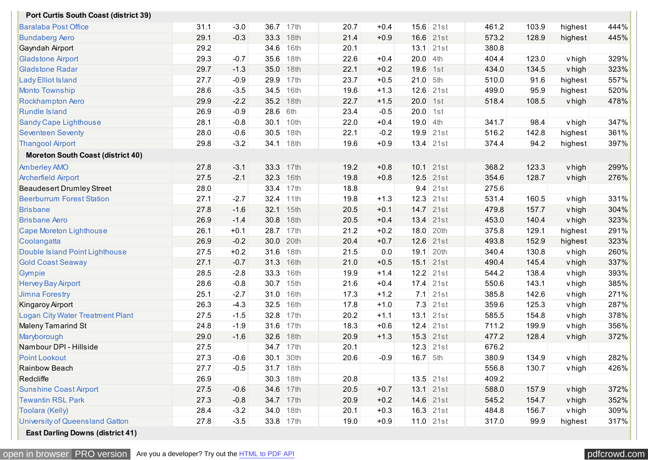| <b>Port Curtis South Coast (district 39)</b> |      |        |           |             |      |        |            |             |       |       |               |      |
|----------------------------------------------|------|--------|-----------|-------------|------|--------|------------|-------------|-------|-------|---------------|------|
| <b>Baralaba Post Office</b>                  | 31.1 | $-3.0$ | 36.7      | 17th        | 20.7 | $+0.4$ | 15.6       | 21st        | 461.2 | 103.9 | highest       | 444% |
| <b>Bundaberg Aero</b>                        | 29.1 | $-0.3$ | 33.3      | 18th        | 21.4 | $+0.9$ | 16.6       | 21st        | 573.2 | 128.9 | highest       | 445% |
| Gayndah Airport                              | 29.2 |        | 34.6      | 16th        | 20.1 |        |            | $13.1$ 21st | 380.8 |       |               |      |
| <b>Gladstone Airport</b>                     | 29.3 | $-0.7$ | 35.6      | 18th        | 22.6 | $+0.4$ | 20.0       | 4th         | 404.4 | 123.0 | vhigh         | 329% |
| <b>Gladstone Radar</b>                       | 29.7 | $-1.3$ | 35.0      | 18th        | 22.1 | $+0.2$ | 19.6       | 1st         | 434.0 | 134.5 | vhigh         | 323% |
| <b>Lady Elliot Island</b>                    | 27.7 | $-0.9$ | 29.9      | 17th        | 23.7 | $+0.5$ | 21.0       | 5th         | 510.0 | 91.6  | highest       | 557% |
| <b>Monto Township</b>                        | 28.6 | $-3.5$ | 34.5      | 16th        | 19.6 | $+1.3$ | 12.6       | 21st        | 499.0 | 95.9  | highest       | 520% |
| <b>Rockhampton Aero</b>                      | 29.9 | $-2.2$ | 35.2      | 18th        | 22.7 | $+1.5$ | 20.0       | 1st         | 518.4 | 108.5 | vhigh         | 478% |
| <b>Rundle Island</b>                         | 26.9 | $-0.9$ | 28.6      | 6th         | 23.4 | $-0.5$ | 20.0       | 1st         |       |       |               |      |
| Sandy Cape Lighthouse                        | 28.1 | $-0.8$ | 30.1      | 10th        | 22.0 | $+0.4$ | $19.0$ 4th |             | 341.7 | 98.4  | vhigh         | 347% |
| <b>Seventeen Seventy</b>                     | 28.0 | $-0.6$ | 30.5      | 18th        | 22.1 | $-0.2$ | 19.9       | 21st        | 516.2 | 142.8 | highest       | 361% |
| <b>Thangool Airport</b>                      | 29.8 | $-3.2$ | 34.1      | 18th        | 19.6 | $+0.9$ |            | $13.4$ 21st | 374.4 | 94.2  | highest       | 397% |
| <b>Moreton South Coast (district 40)</b>     |      |        |           |             |      |        |            |             |       |       |               |      |
| <b>Amberley AMO</b>                          | 27.8 | $-3.1$ | 33.3      | 17th        | 19.2 | $+0.8$ |            | 10.1 21st   | 368.2 | 123.3 | v high        | 299% |
| <b>Archerfield Airport</b>                   | 27.5 | $-2.1$ | 32.3      | 16th        | 19.8 | $+0.8$ | 12.5       | 21st        | 354.6 | 128.7 | vhigh         | 276% |
| <b>Beaudesert Drumley Street</b>             | 28.0 |        | 33.4      | 17th        | 18.8 |        | 9.4        | 21st        | 275.6 |       |               |      |
| <b>Beerburrum Forest Station</b>             | 27.1 | $-2.7$ | 32.4      | 11th        | 19.8 | $+1.3$ | 12.3       | 21st        | 531.4 | 160.5 | vhigh         | 331% |
| <b>Brisbane</b>                              | 27.8 | $-1.6$ | 32.1      | 15th        | 20.5 | $+0.1$ |            | 14.7 21st   | 479.8 | 157.7 | v high        | 304% |
| <b>Brisbane Aero</b>                         | 26.9 | $-1.4$ | 30.8      | 18th        | 20.5 | $+0.4$ | 13.4       | 21st        | 453.0 | 140.4 | vhigh         | 323% |
| Cape Moreton Lighthouse                      | 26.1 | $+0.1$ | 28.7      | 17th        | 21.2 | $+0.2$ | 18.0       | 20th        | 375.8 | 129.1 | highest       | 291% |
| Coolangatta                                  | 26.9 | $-0.2$ | 30.0      | 20th        | 20.4 | $+0.7$ |            | 12.6 21st   | 493.8 | 152.9 | highest       | 323% |
| Double Island Point Lighthouse               | 27.5 | $+0.2$ | 31.6      | 18th        | 21.5 | 0.0    | 19.1       | 20th        | 340.4 | 130.8 | vhigh         | 260% |
| <b>Gold Coast Seaway</b>                     | 27.1 | $-0.7$ | 31.3      | 16th        | 21.0 | $+0.5$ | 15.1       | 21st        | 490.4 | 145.4 | vhigh         | 337% |
| Gympie                                       | 28.5 | $-2.8$ | 33.3      | 16th        | 19.9 | $+1.4$ | 12.2       | 21st        | 544.2 | 138.4 | vhigh         | 393% |
| <b>Hervey Bay Airport</b>                    | 28.6 | $-0.8$ | 30.7      | 15th        | 21.6 | $+0.4$ |            | $17.4$ 21st | 550.6 | 143.1 | <b>v</b> high | 385% |
| <b>Jimna Forestry</b>                        | 25.1 | $-2.7$ | 31.0      | 16th        | 17.3 | $+1.2$ | 7.1        | 21st        | 385.8 | 142.6 | vhigh         | 271% |
| <b>Kingaroy Airport</b>                      | 26.3 | $-4.3$ | 32.5      | 16th        | 17.8 | $+1.0$ | 7.3        | 21st        | 359.6 | 125.3 | vhigh         | 287% |
| <b>Logan City Water Treatment Plant</b>      | 27.5 | $-1.5$ | 32.8      | 17th        | 20.2 | $+1.1$ |            | $13.1$ 21st | 585.5 | 154.8 | <b>v</b> high | 378% |
| <b>Maleny Tamarind St</b>                    | 24.8 | $-1.9$ | 31.6      | 17th        | 18.3 | $+0.6$ | 12.4       | 21st        | 711.2 | 199.9 | <b>v</b> high | 356% |
| Maryborough                                  | 29.0 | $-1.6$ | 32.6      | 18th        | 20.9 | $+1.3$ | 15.3       | 21st        | 477.2 | 128.4 | v high        | 372% |
| Nambour DPI - Hillside                       | 27.5 |        | 34.7 17th |             | 20.1 |        |            | $12.3$ 21st | 676.2 |       |               |      |
| <b>Point Lookout</b>                         | 27.3 | $-0.6$ | 30.1      | 30th        | 20.6 | $-0.9$ | $16.7$ 5th |             | 380.9 | 134.9 | v high        | 282% |
| Rainbow Beach                                | 27.7 | $-0.5$ |           | $31.7$ 18th |      |        |            |             | 556.8 | 130.7 | vhigh         | 426% |
| Redcliffe                                    | 26.9 |        |           | 30.3 18th   | 20.8 |        |            | $13.5$ 21st | 409.2 |       |               |      |
| <b>Sunshine Coast Airport</b>                | 27.5 | $-0.6$ | 34.6      | 17th        | 20.5 | $+0.7$ |            | 13.1 21st   | 588.0 | 157.9 | v high        | 372% |
| <b>Tewantin RSL Park</b>                     | 27.3 | $-0.8$ |           | 34.7 17th   | 20.9 | $+0.2$ |            | 14.6 21st   | 545.2 | 154.7 | vhigh         | 352% |
| Toolara (Kelly)                              | 28.4 | $-3.2$ |           | 34.0 18th   | 20.1 | $+0.3$ |            | $16.3$ 21st | 484.8 | 156.7 | v high        | 309% |
| <b>University of Queensland Gatton</b>       | 27.8 | $-3.5$ |           | 33.8 17th   | 19.0 | $+0.9$ |            | $11.0$ 21st | 317.0 | 99.9  | highest       | 317% |
| <b>East Darling Downs (district 41)</b>      |      |        |           |             |      |        |            |             |       |       |               |      |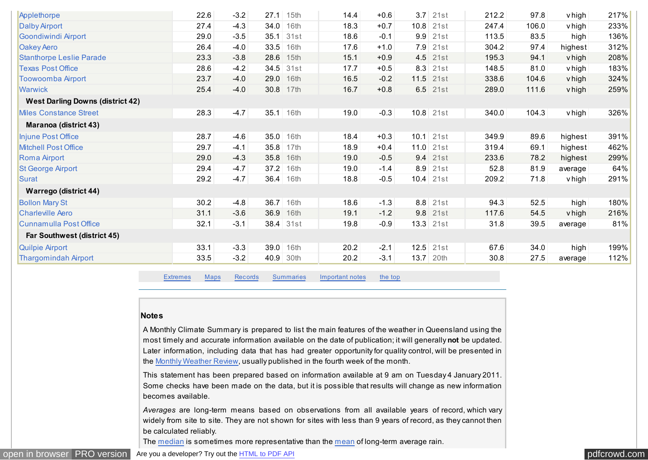<span id="page-17-0"></span>

| Applethorpe                             | 22.6 | $-3.2$ | 27.1 | 15th        | 14.4 | $+0.6$ | 3.7    | 21st        | 212.2 | 97.8  | v high  | 217% |
|-----------------------------------------|------|--------|------|-------------|------|--------|--------|-------------|-------|-------|---------|------|
| <b>Dalby Airport</b>                    | 27.4 | $-4.3$ | 34.0 | 16th        | 18.3 | $+0.7$ | 10.8   | 21st        | 247.4 | 106.0 | v high  | 233% |
| Goondiwindi Airport                     | 29.0 | $-3.5$ | 35.1 | 31st        | 18.6 | $-0.1$ | 9.9    | 21st        | 113.5 | 83.5  | high    | 136% |
| <b>Oakey Aero</b>                       | 26.4 | $-4.0$ | 33.5 | 16th        | 17.6 | $+1.0$ | 7.9    | 21st        | 304.2 | 97.4  | highest | 312% |
| <b>Stanthorpe Leslie Parade</b>         | 23.3 | $-3.8$ | 28.6 | 15th        | 15.1 | $+0.9$ | 4.5    | 21st        | 195.3 | 94.1  | v high  | 208% |
| <b>Texas Post Office</b>                | 28.6 | $-4.2$ | 34.5 | 31st        | 17.7 | $+0.5$ | 8.3    | 21st        | 148.5 | 81.0  | v high  | 183% |
| <b>Toowoomba Airport</b>                | 23.7 | $-4.0$ | 29.0 | 16th        | 16.5 | $-0.2$ | 11.5   | 21st        | 338.6 | 104.6 | v high  | 324% |
| <b>Warwick</b>                          | 25.4 | $-4.0$ | 30.8 | 17th        | 16.7 | $+0.8$ |        | $6.5$ 21st  | 289.0 | 111.6 | v high  | 259% |
| <b>West Darling Downs (district 42)</b> |      |        |      |             |      |        |        |             |       |       |         |      |
| <b>Miles Constance Street</b>           | 28.3 | $-4.7$ |      | $35.1$ 16th | 19.0 | $-0.3$ |        | $10.8$ 21st | 340.0 | 104.3 | vhigh   | 326% |
| Maranoa (district 43)                   |      |        |      |             |      |        |        |             |       |       |         |      |
| Injune Post Office                      | 28.7 | $-4.6$ | 35.0 | 16th        | 18.4 | $+0.3$ | 10.1   | 21st        | 349.9 | 89.6  | highest | 391% |
| <b>Mitchell Post Office</b>             | 29.7 | $-4.1$ | 35.8 | 17th        | 18.9 | $+0.4$ | 11.0   | 21st        | 319.4 | 69.1  | highest | 462% |
| Roma Airport                            | 29.0 | $-4.3$ | 35.8 | 16th        | 19.0 | $-0.5$ | 9.4    | 21st        | 233.6 | 78.2  | highest | 299% |
| <b>St George Airport</b>                | 29.4 | $-4.7$ | 37.2 | 16th        | 19.0 | $-1.4$ | 8.9    | 21st        | 52.8  | 81.9  | average | 64%  |
| Surat                                   | 29.2 | $-4.7$ |      | $36.4$ 16th | 18.8 | $-0.5$ |        | $10.4$ 21st | 209.2 | 71.8  | vhigh   | 291% |
| <b>Warrego (district 44)</b>            |      |        |      |             |      |        |        |             |       |       |         |      |
| <b>Bollon Mary St</b>                   | 30.2 | $-4.8$ | 36.7 | 16th        | 18.6 | $-1.3$ | 8.8    | 21st        | 94.3  | 52.5  | high    | 180% |
| <b>Charleville Aero</b>                 | 31.1 | $-3.6$ | 36.9 | 16th        | 19.1 | $-1.2$ | 9.8    | 21st        | 117.6 | 54.5  | v high  | 216% |
| <b>Cunnamulla Post Office</b>           | 32.1 | $-3.1$ |      | 38.4 31st   | 19.8 | $-0.9$ |        | $13.3$ 21st | 31.8  | 39.5  | average | 81%  |
| Far Southwest (district 45)             |      |        |      |             |      |        |        |             |       |       |         |      |
| Quilpie Airport                         | 33.1 | $-3.3$ | 39.0 | 16th        | 20.2 | $-2.1$ | $12.5$ | 21st        | 67.6  | 34.0  | high    | 199% |
| <b>Thargomindah Airport</b>             | 33.5 | $-3.2$ | 40.9 | 30th        | 20.2 | $-3.1$ | 13.7   | 20th        | 30.8  | 27.5  | average | 112% |

[Extremes](#page-4-0) [Maps](#page-0-0) [Records](#page-5-0) [Summaries](#page-13-0) Important notes [the top](#page-0-0)

#### **Notes**

A Monthly Climate Summary is prepared to list the main features of the weather in Queensland using the most timely and accurate information available on the date of publication; it will generally **not** be updated. Later information, including data that has had greater opportunity for quality control, will be presented in the [Monthly Weather Review,](http://www.bom.gov.au/climate/mwr/) usually published in the fourth week of the month.

This statement has been prepared based on information available at 9 am on Tuesday 4 January 2011. Some checks have been made on the data, but it is possible that results will change as new information becomes available.

*Averages* are long-term means based on observations from all available years of record, which vary widely from site to site. They are not shown for sites with less than 9 years of record, as they cannot then be calculated reliably.

The [median](http://www.bom.gov.au/lam/glossary/mpagegl.shtml) is sometimes more representative than the [mean](http://www.bom.gov.au/lam/glossary/mpagegl.shtml) of long-term average rain.